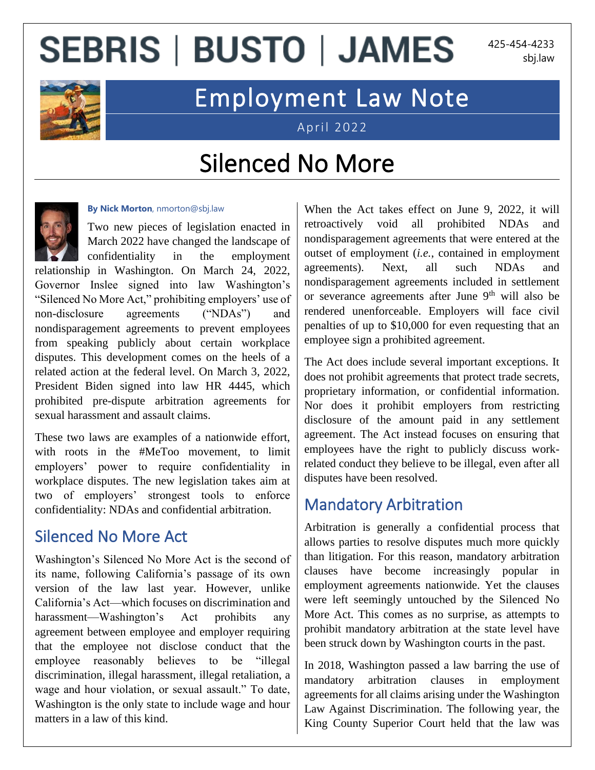# **SEBRIS | BUSTO | JAMES**

425-454-4233 sbj.law



### Employment Law Note

April 2022

### Silenced No More



**By Nick Morton**, nmorton@sbj.law

Two new pieces of legislation enacted in March 2022 have changed the landscape of confidentiality in the employment

relationship in Washington. On March 24, 2022, Governor Inslee signed into law Washington's "Silenced No More Act," prohibiting employers' use of non-disclosure agreements ("NDAs") and nondisparagement agreements to prevent employees from speaking publicly about certain workplace disputes. This development comes on the heels of a related action at the federal level. On March 3, 2022, President Biden signed into law HR 4445, which prohibited pre-dispute arbitration agreements for sexual harassment and assault claims.

These two laws are examples of a nationwide effort, with roots in the #MeToo movement, to limit employers' power to require confidentiality in workplace disputes. The new legislation takes aim at two of employers' strongest tools to enforce confidentiality: NDAs and confidential arbitration.

#### Silenced No More Act

Washington's Silenced No More Act is the second of its name, following California's passage of its own version of the law last year. However, unlike California's Act—which focuses on discrimination and harassment—Washington's Act prohibits any agreement between employee and employer requiring that the employee not disclose conduct that the employee reasonably believes to be "illegal discrimination, illegal harassment, illegal retaliation, a wage and hour violation, or sexual assault." To date, Washington is the only state to include wage and hour matters in a law of this kind.

When the Act takes effect on June 9, 2022, it will retroactively void all prohibited NDAs and nondisparagement agreements that were entered at the outset of employment (*i.e.*, contained in employment agreements). Next, all such NDAs and nondisparagement agreements included in settlement or severance agreements after June  $9<sup>th</sup>$  will also be rendered unenforceable. Employers will face civil penalties of up to \$10,000 for even requesting that an employee sign a prohibited agreement.

The Act does include several important exceptions. It does not prohibit agreements that protect trade secrets, proprietary information, or confidential information. Nor does it prohibit employers from restricting disclosure of the amount paid in any settlement agreement. The Act instead focuses on ensuring that employees have the right to publicly discuss workrelated conduct they believe to be illegal, even after all disputes have been resolved.

#### Mandatory Arbitration

Arbitration is generally a confidential process that allows parties to resolve disputes much more quickly than litigation. For this reason, mandatory arbitration clauses have become increasingly popular in employment agreements nationwide. Yet the clauses were left seemingly untouched by the Silenced No More Act. This comes as no surprise, as attempts to prohibit mandatory arbitration at the state level have been struck down by Washington courts in the past.

In 2018, Washington passed a law barring the use of mandatory arbitration clauses in employment agreements for all claims arising under the Washington Law Against Discrimination. The following year, the King County Superior Court held that the law was